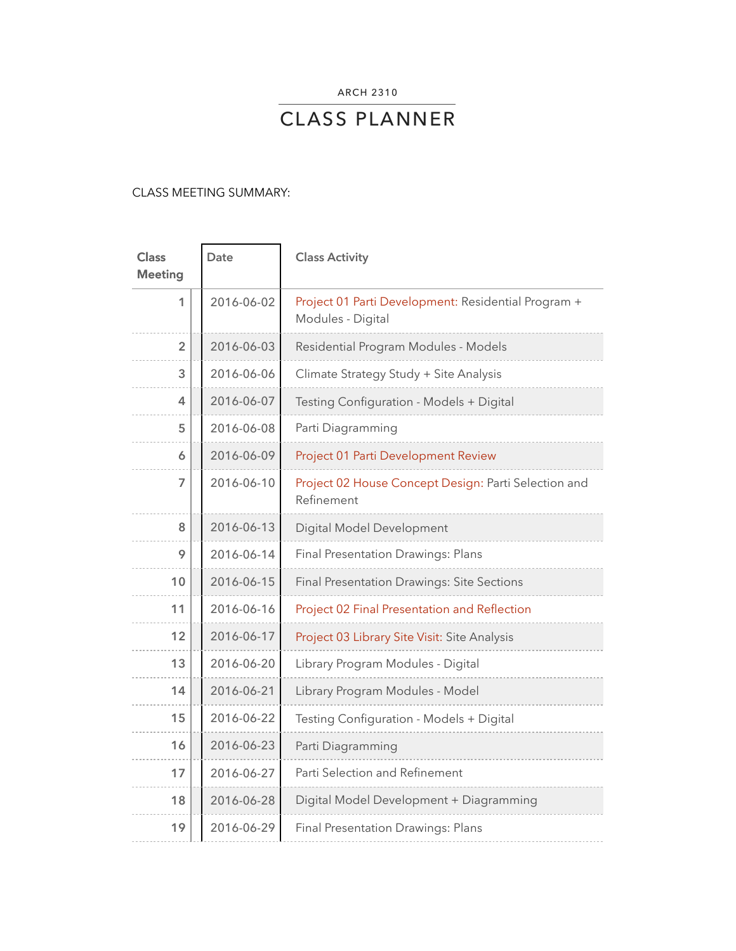ARCH 2310

# CLASS PLANNER

# CLASS MEETING SUMMARY:

 $\sim$ 

 $\overline{\phantom{a}}$ 

| <b>Class</b><br><b>Meeting</b> | Date       | <b>Class Activity</b>                                                    |
|--------------------------------|------------|--------------------------------------------------------------------------|
| 1                              | 2016-06-02 | Project 01 Parti Development: Residential Program +<br>Modules - Digital |
| $\overline{2}$                 | 2016-06-03 | Residential Program Modules - Models                                     |
| 3                              | 2016-06-06 | Climate Strategy Study + Site Analysis                                   |
| 4                              | 2016-06-07 | Testing Configuration - Models + Digital                                 |
| 5                              | 2016-06-08 | Parti Diagramming                                                        |
| 6                              | 2016-06-09 | Project 01 Parti Development Review                                      |
| 7                              | 2016-06-10 | Project 02 House Concept Design: Parti Selection and<br>Refinement       |
| 8                              | 2016-06-13 | Digital Model Development                                                |
| 9                              | 2016-06-14 | Final Presentation Drawings: Plans                                       |
| 10                             | 2016-06-15 | <b>Final Presentation Drawings: Site Sections</b>                        |
| 11                             | 2016-06-16 | Project 02 Final Presentation and Reflection                             |
| 12                             | 2016-06-17 | Project 03 Library Site Visit: Site Analysis                             |
| 13                             | 2016-06-20 | Library Program Modules - Digital                                        |
| 14                             | 2016-06-21 | Library Program Modules - Model                                          |
| 15                             | 2016-06-22 | Testing Configuration - Models + Digital                                 |
| 16                             | 2016-06-23 | Parti Diagramming                                                        |
| 17                             | 2016-06-27 | Parti Selection and Refinement                                           |
| 18                             | 2016-06-28 | Digital Model Development + Diagramming                                  |
| 19                             | 2016-06-29 | <b>Final Presentation Drawings: Plans</b>                                |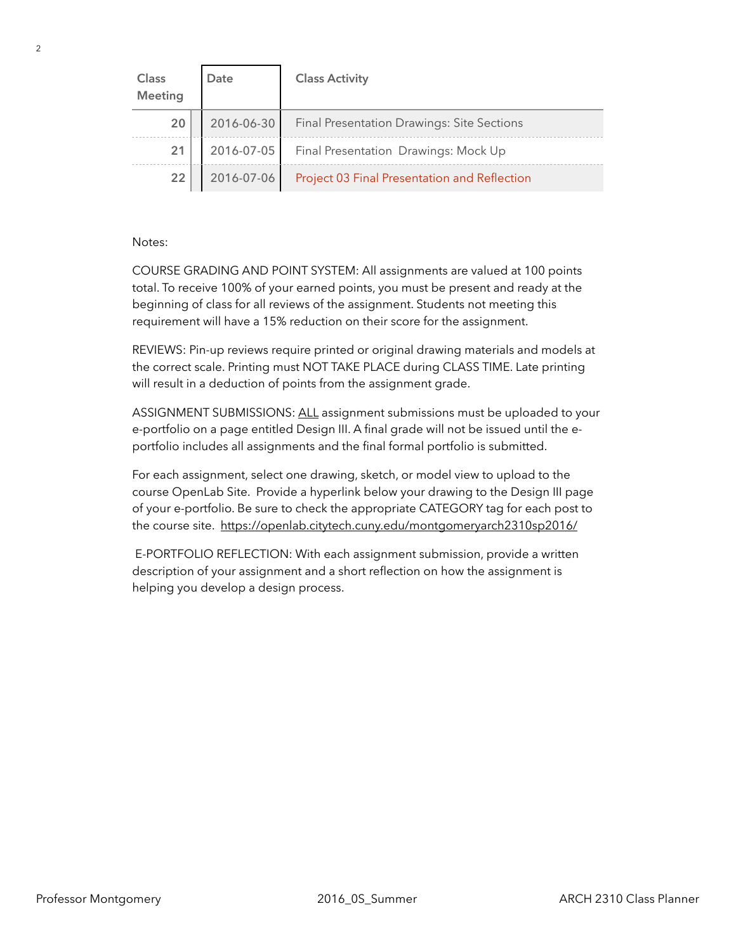| Class<br>Meeting | Date       | <b>Class Activity</b>                             |
|------------------|------------|---------------------------------------------------|
| 20               | 2016-06-30 | <b>Final Presentation Drawings: Site Sections</b> |
| 21               | 2016-07-05 | Final Presentation Drawings: Mock Up              |
| 22               | 2016-07-06 | Project 03 Final Presentation and Reflection      |

# Notes:

COURSE GRADING AND POINT SYSTEM: All assignments are valued at 100 points total. To receive 100% of your earned points, you must be present and ready at the beginning of class for all reviews of the assignment. Students not meeting this requirement will have a 15% reduction on their score for the assignment.

REVIEWS: Pin-up reviews require printed or original drawing materials and models at the correct scale. Printing must NOT TAKE PLACE during CLASS TIME. Late printing will result in a deduction of points from the assignment grade.

ASSIGNMENT SUBMISSIONS: ALL assignment submissions must be uploaded to your e-portfolio on a page entitled Design III. A final grade will not be issued until the eportfolio includes all assignments and the final formal portfolio is submitted.

For each assignment, select one drawing, sketch, or model view to upload to the course OpenLab Site. Provide a hyperlink below your drawing to the Design III page of your e-portfolio. Be sure to check the appropriate CATEGORY tag for each post to the course site. <https://openlab.citytech.cuny.edu/montgomeryarch2310sp2016/>

 E-PORTFOLIO REFLECTION: With each assignment submission, provide a written description of your assignment and a short reflection on how the assignment is helping you develop a design process.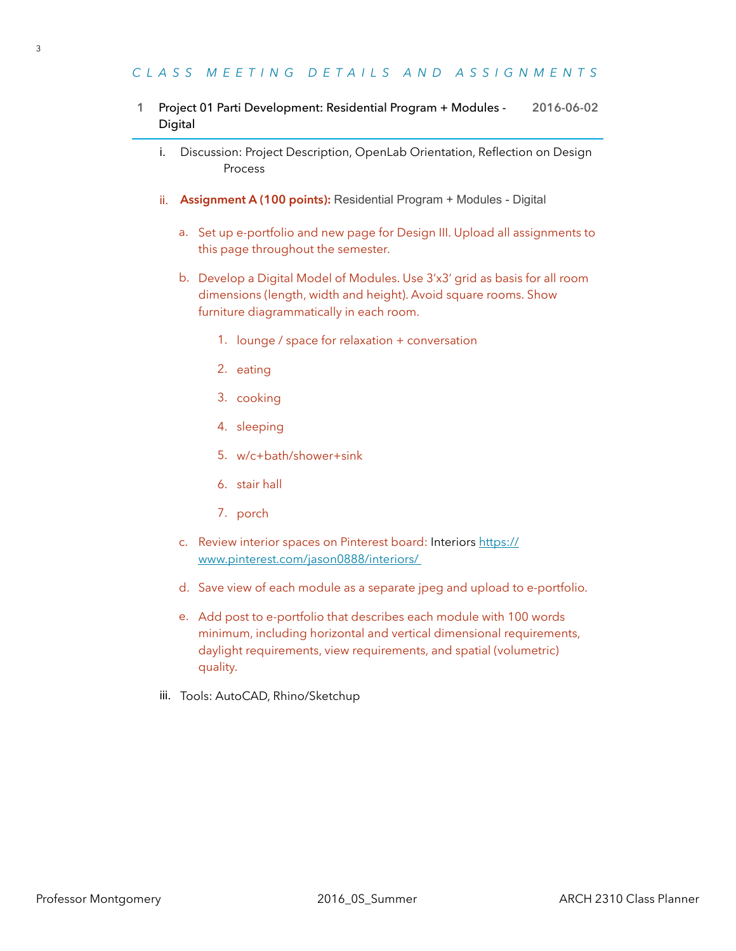# *CLASS MEETING DETAILS AND ASSIGNMENTS*

# **1** Project 01 Parti Development: Residential Program + Modules - **2016-06-02** Digital

- i. Discussion: Project Description, OpenLab Orientation, Reflection on Design Process
- ii. **Assignment A (100 points):** Residential Program + Modules Digital
	- a. Set up e-portfolio and new page for Design III. Upload all assignments to this page throughout the semester.
	- b. Develop a Digital Model of Modules. Use 3'x3' grid as basis for all room dimensions (length, width and height). Avoid square rooms. Show furniture diagrammatically in each room.
		- 1. lounge / space for relaxation + conversation
		- 2. eating
		- 3. cooking
		- 4. sleeping
		- 5. w/c+bath/shower+sink
		- 6. stair hall
		- 7. porch
	- c. [Review interior spaces on Pinterest board: Interiors](https://www.pinterest.com/jason0888/interiors/) https:// www.pinterest.com/jason0888/interiors/
	- d. Save view of each module as a separate jpeg and upload to e-portfolio.
	- e. Add post to e-portfolio that describes each module with 100 words minimum, including horizontal and vertical dimensional requirements, daylight requirements, view requirements, and spatial (volumetric) quality.
- iii. Tools: AutoCAD, Rhino/Sketchup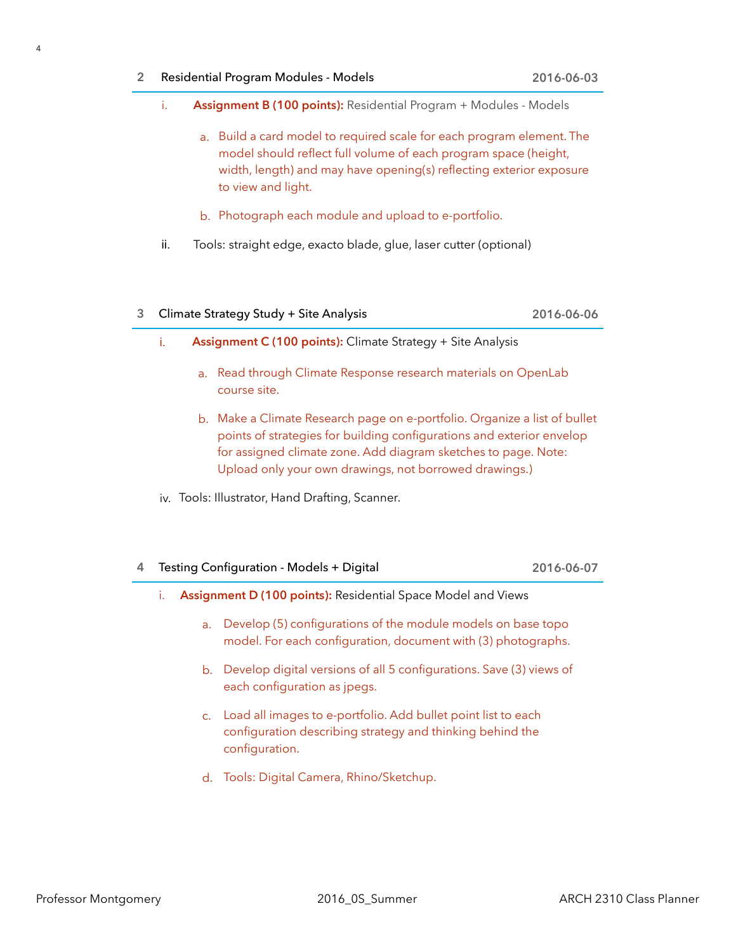- i. **Assignment B (100 points):** Residential Program + Modules Models
	- a. Build a card model to required scale for each program element. The model should reflect full volume of each program space (height, width, length) and may have opening(s) reflecting exterior exposure to view and light.
	- b. Photograph each module and upload to e-portfolio.
- ii. Tools: straight edge, exacto blade, glue, laser cutter (optional)

#### **3** Climate Strategy Study + Site Analysis **2016-06-06**

- i. **Assignment C (100 points):** Climate Strategy + Site Analysis
	- a. Read through Climate Response research materials on OpenLab course site.
	- b. Make a Climate Research page on e-portfolio. Organize a list of bullet points of strategies for building configurations and exterior envelop for assigned climate zone. Add diagram sketches to page. Note: Upload only your own drawings, not borrowed drawings.)
- iv. Tools: Illustrator, Hand Drafting, Scanner.

| 4 Testing Configuration - Models + Digital | 2016-06-07 |
|--------------------------------------------|------------|
|--------------------------------------------|------------|

- i. **Assignment D (100 points):** Residential Space Model and Views
	- a. Develop (5) configurations of the module models on base topo model. For each configuration, document with (3) photographs.
	- b. Develop digital versions of all 5 configurations. Save (3) views of each configuration as jpegs.
	- c. Load all images to e-portfolio. Add bullet point list to each configuration describing strategy and thinking behind the configuration.
	- d. Tools: Digital Camera, Rhino/Sketchup.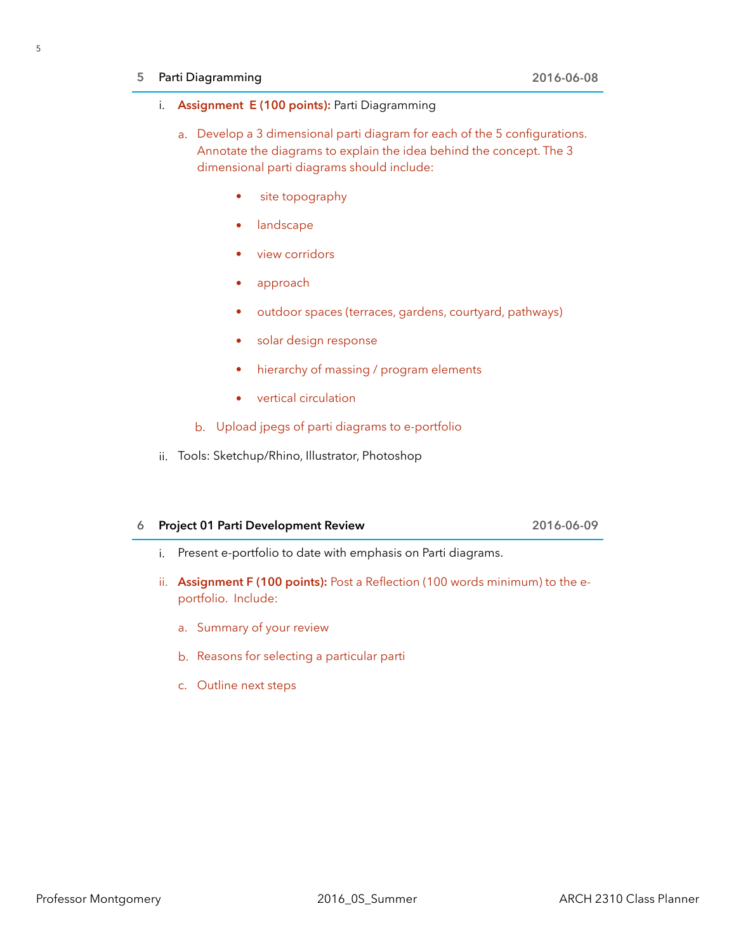# **5** Parti Diagramming **2016-06-08**

### i. **Assignment E (100 points):** Parti Diagramming

- a. Develop a 3 dimensional parti diagram for each of the 5 configurations. Annotate the diagrams to explain the idea behind the concept. The 3 dimensional parti diagrams should include:
	- site topography
	- **landscape**
	- view corridors
	- approach
	- outdoor spaces (terraces, gardens, courtyard, pathways)
	- solar design response
	- hierarchy of massing / program elements
	- vertical circulation
	- b. Upload jpegs of parti diagrams to e-portfolio
- ii. Tools: Sketchup/Rhino, Illustrator, Photoshop

# **6 Project 01 Parti Development Review 2016-06-09**

- i. Present e-portfolio to date with emphasis on Parti diagrams.
- ii. **Assignment F (100 points):** Post a Reflection (100 words minimum) to the eportfolio. Include:
	- a. Summary of your review
	- b. Reasons for selecting a particular parti
	- c. Outline next steps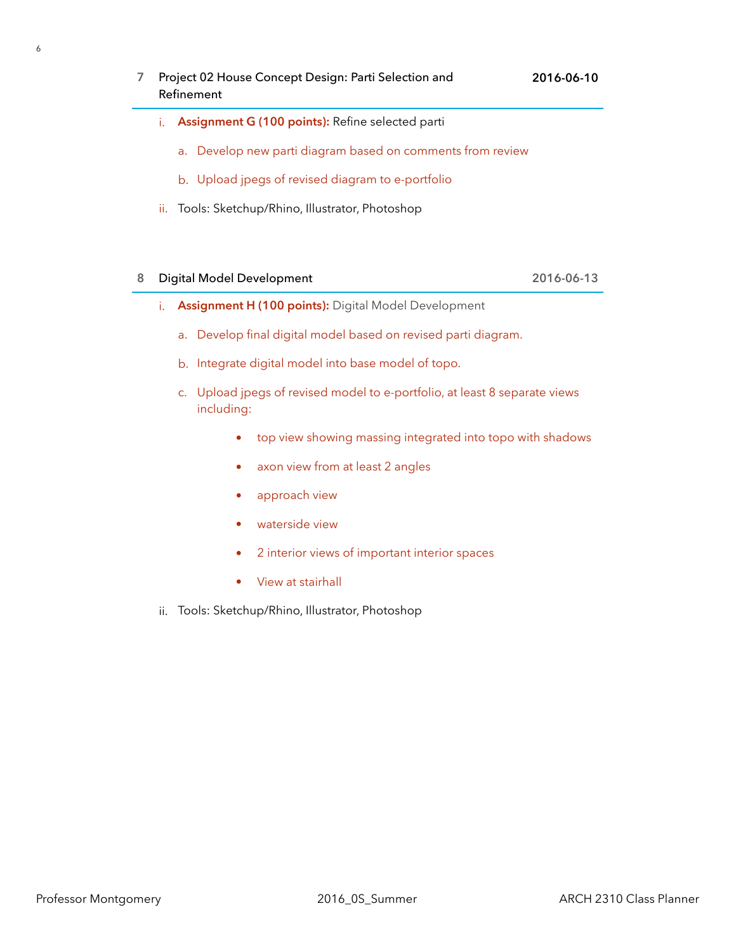- **7** Project 02 House Concept Design: Parti Selection and Refinement
	- i. **Assignment G (100 points):** Refine selected parti
		- a. Develop new parti diagram based on comments from review
		- b. Upload jpegs of revised diagram to e-portfolio
	- ii. Tools: Sketchup/Rhino, Illustrator, Photoshop

# **8** Digital Model Development **2016-06-13**

- i. **Assignment H (100 points):** Digital Model Development
	- a. Develop final digital model based on revised parti diagram.
	- b. Integrate digital model into base model of topo.
	- c. Upload jpegs of revised model to e-portfolio, at least 8 separate views including:
		- top view showing massing integrated into topo with shadows
		- axon view from at least 2 angles
		- approach view
		- waterside view
		- 2 interior views of important interior spaces
		- View at stairhall
- ii. Tools: Sketchup/Rhino, Illustrator, Photoshop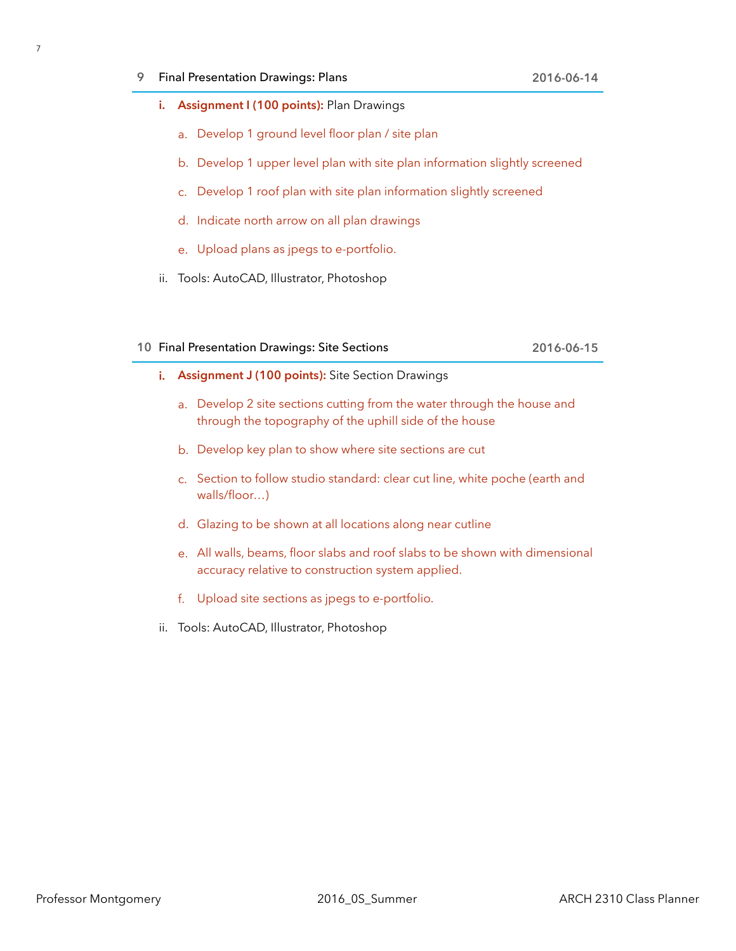### **9** Final Presentation Drawings: Plans **2016-06-14**

- **i. Assignment I (100 points):** Plan Drawings
	- a. Develop 1 ground level floor plan / site plan
	- b. Develop 1 upper level plan with site plan information slightly screened
	- c. Develop 1 roof plan with site plan information slightly screened
	- d. Indicate north arrow on all plan drawings
	- e. Upload plans as jpegs to e-portfolio.
- ii. Tools: AutoCAD, Illustrator, Photoshop

#### **10** Final Presentation Drawings: Site Sections **2016-06-15**

- **i. Assignment J (100 points):** Site Section Drawings
	- a. Develop 2 site sections cutting from the water through the house and through the topography of the uphill side of the house
	- b. Develop key plan to show where site sections are cut
	- c. Section to follow studio standard: clear cut line, white poche (earth and walls/floor…)
	- d. Glazing to be shown at all locations along near cutline
	- e. All walls, beams, floor slabs and roof slabs to be shown with dimensional accuracy relative to construction system applied.
	- f. Upload site sections as jpegs to e-portfolio.
- ii. Tools: AutoCAD, Illustrator, Photoshop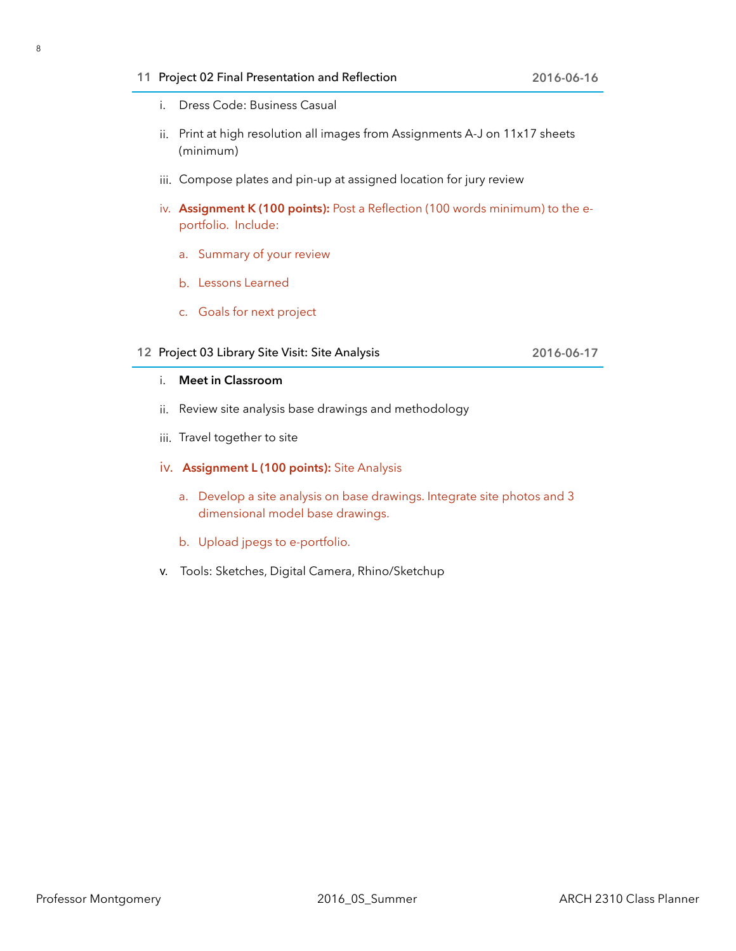# **11** Project 02 Final Presentation and Reflection **2016-06-16**

- i. Dress Code: Business Casual
- ii. Print at high resolution all images from Assignments A-J on 11x17 sheets (minimum)
- iii. Compose plates and pin-up at assigned location for jury review
- iv. **Assignment K (100 points):** Post a Reflection (100 words minimum) to the eportfolio. Include:
	- a. Summary of your review
	- b. Lessons Learned
	- c. Goals for next project

# **12** Project 03 Library Site Visit: Site Analysis **2016-06-17**

# i. **Meet in Classroom**

- ii. Review site analysis base drawings and methodology
- iii. Travel together to site

# iv. **Assignment L (100 points):** Site Analysis

- a. Develop a site analysis on base drawings. Integrate site photos and 3 dimensional model base drawings.
- b. Upload jpegs to e-portfolio.
- v. Tools: Sketches, Digital Camera, Rhino/Sketchup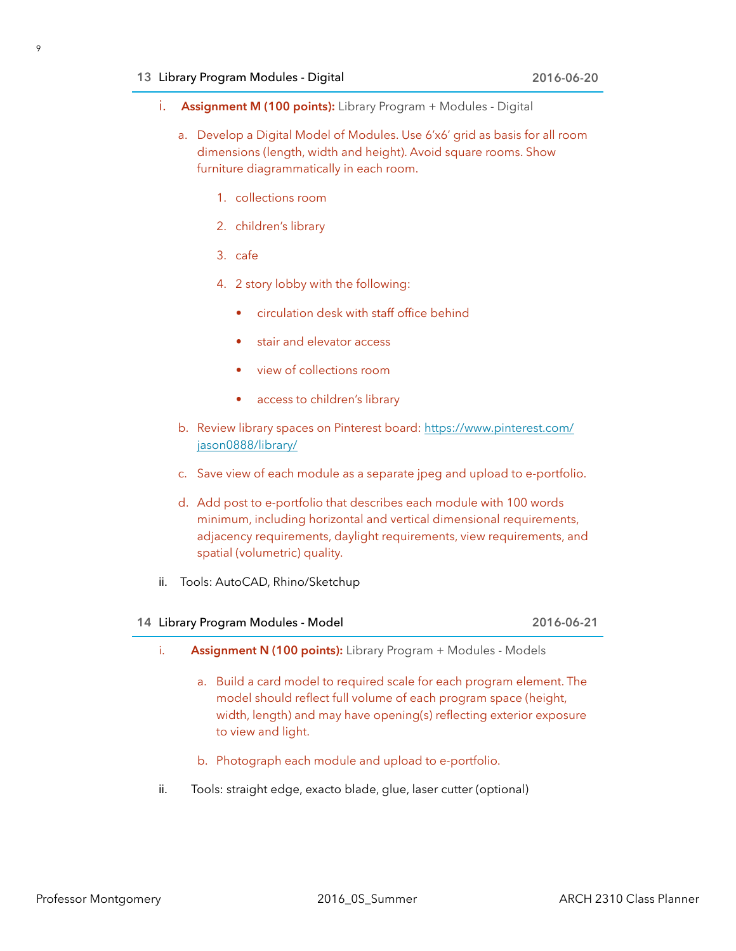#### **13** Library Program Modules - Digital **2016-06-20**

- i. **Assignment M (100 points):** Library Program + Modules Digital
	- a. Develop a Digital Model of Modules. Use 6'x6' grid as basis for all room dimensions (length, width and height). Avoid square rooms. Show furniture diagrammatically in each room.
		- 1. collections room
		- 2. children's library
		- 3. cafe
		- 4. 2 story lobby with the following:
			- circulation desk with staff office behind
			- stair and elevator access
			- view of collections room
			- access to children's library
	- b. Review library spaces on Pinterest board: https://www.pinterest.com/ jason0888/library/
	- c. Save view of each module as a separate jpeg and upload to e-portfolio.
	- d. Add post to e-portfolio that describes each module with 100 words minimum, including horizontal and vertical dimensional requirements, adjacency requirements, daylight requirements, view requirements, and spatial (volumetric) quality.
- ii. Tools: AutoCAD, Rhino/Sketchup

### **14** Library Program Modules - Model **2016-06-21**

- i. **Assignment N (100 points):** Library Program + Modules Models
	- a. Build a card model to required scale for each program element. The model should reflect full volume of each program space (height, width, length) and may have opening(s) reflecting exterior exposure to view and light.
	- b. Photograph each module and upload to e-portfolio.
- ii. Tools: straight edge, exacto blade, glue, laser cutter (optional)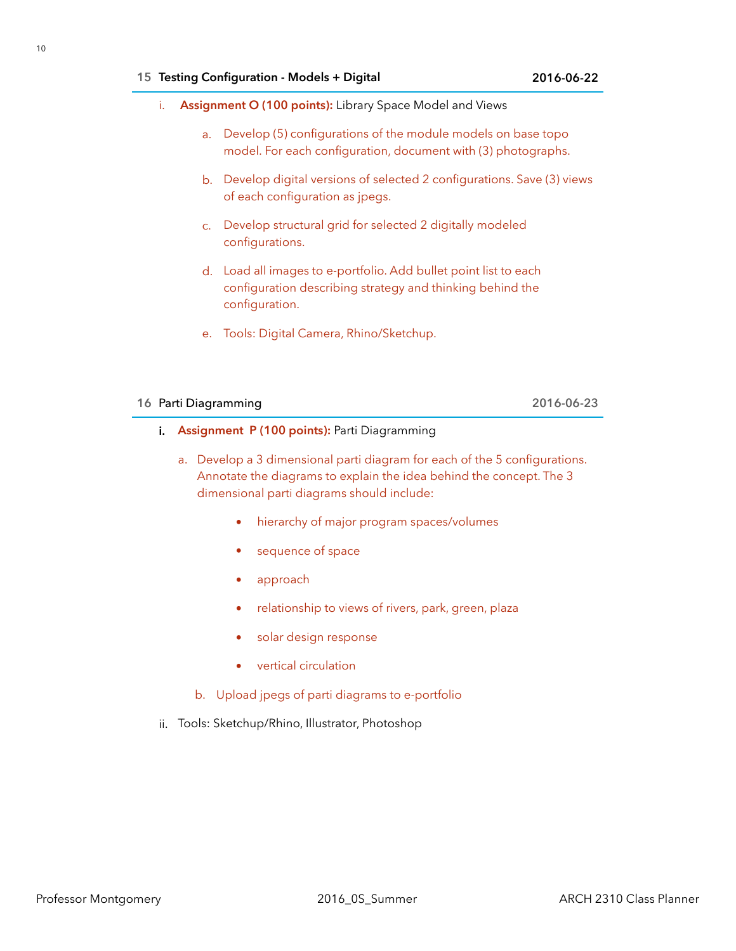- i. **Assignment O (100 points):** Library Space Model and Views
	- a. Develop (5) configurations of the module models on base topo model. For each configuration, document with (3) photographs.
	- b. Develop digital versions of selected 2 configurations. Save (3) views of each configuration as jpegs.
	- c. Develop structural grid for selected 2 digitally modeled configurations.
	- d. Load all images to e-portfolio. Add bullet point list to each configuration describing strategy and thinking behind the configuration.
	- e. Tools: Digital Camera, Rhino/Sketchup.

### **16** Parti Diagramming **2016-06-23**

- **i.** Assignment P (100 points): Parti Diagramming
	- a. Develop a 3 dimensional parti diagram for each of the 5 configurations. Annotate the diagrams to explain the idea behind the concept. The 3 dimensional parti diagrams should include:
		- hierarchy of major program spaces/volumes
		- sequence of space
		- approach
		- relationship to views of rivers, park, green, plaza
		- solar design response
		- vertical circulation
		- b. Upload jpegs of parti diagrams to e-portfolio
- ii. Tools: Sketchup/Rhino, Illustrator, Photoshop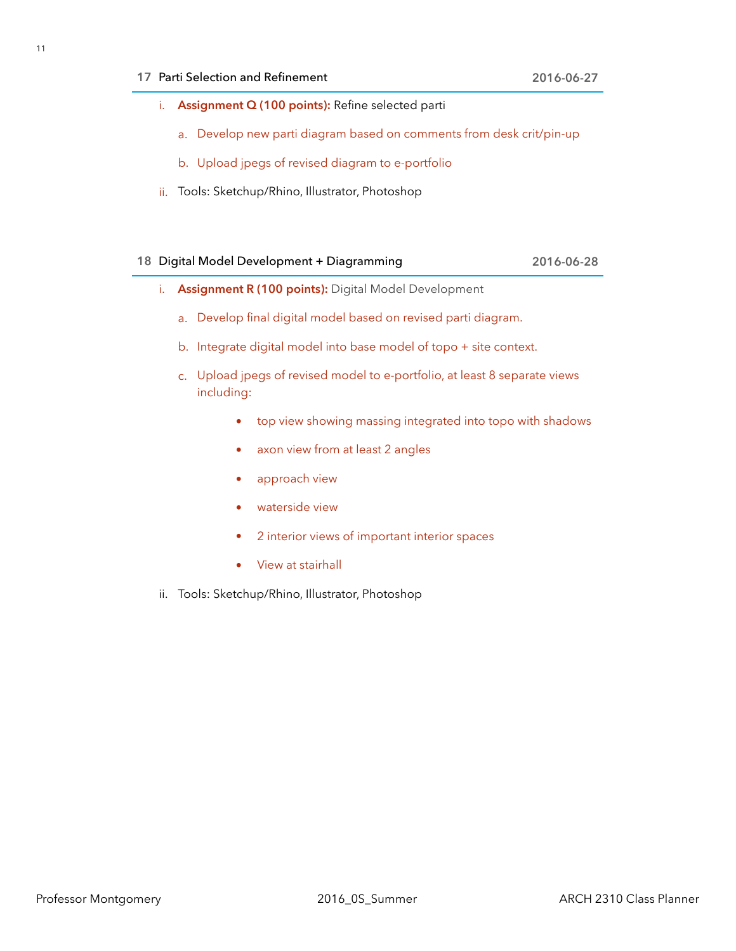# **17** Parti Selection and Refinement **2016-06-27**

- i. **Assignment Q (100 points):** Refine selected parti
	- a. Develop new parti diagram based on comments from desk crit/pin-up
	- b. Upload jpegs of revised diagram to e-portfolio
- ii. Tools: Sketchup/Rhino, Illustrator, Photoshop

# **18** Digital Model Development + Diagramming **2016-06-28**

- i. **Assignment R (100 points):** Digital Model Development
	- a. Develop final digital model based on revised parti diagram.
	- b. Integrate digital model into base model of topo + site context.
	- c. Upload jpegs of revised model to e-portfolio, at least 8 separate views including:
		- top view showing massing integrated into topo with shadows
		- axon view from at least 2 angles
		- approach view
		- waterside view
		- 2 interior views of important interior spaces
		- View at stairhall
- ii. Tools: Sketchup/Rhino, Illustrator, Photoshop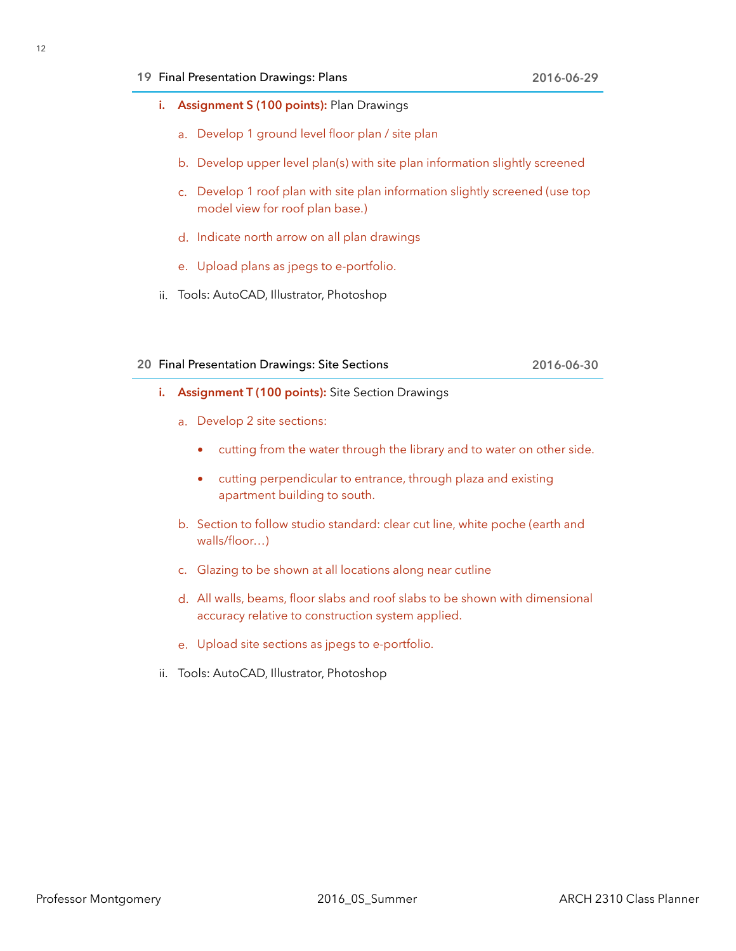### **19** Final Presentation Drawings: Plans **2016-06-29**

- **i. Assignment S (100 points):** Plan Drawings
	- a. Develop 1 ground level floor plan / site plan
	- b. Develop upper level plan(s) with site plan information slightly screened
	- c. Develop 1 roof plan with site plan information slightly screened (use top model view for roof plan base.)
	- d. Indicate north arrow on all plan drawings
	- e. Upload plans as jpegs to e-portfolio.
- ii. Tools: AutoCAD, Illustrator, Photoshop

### **20** Final Presentation Drawings: Site Sections **2016-06-30**

- **i. Assignment T (100 points):** Site Section Drawings
	- a. Develop 2 site sections:
		- cutting from the water through the library and to water on other side.
		- cutting perpendicular to entrance, through plaza and existing apartment building to south.
	- b. Section to follow studio standard: clear cut line, white poche (earth and walls/floor…)
	- c. Glazing to be shown at all locations along near cutline
	- d. All walls, beams, floor slabs and roof slabs to be shown with dimensional accuracy relative to construction system applied.
	- e. Upload site sections as jpegs to e-portfolio.
- ii. Tools: AutoCAD, Illustrator, Photoshop